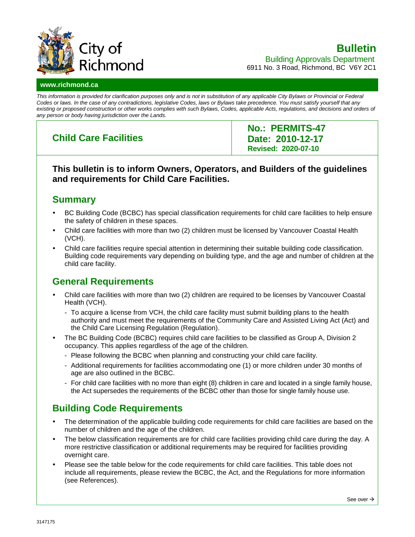

### **Bulletin** Building Approvals Department

6911 No. 3 Road, Richmond, BC V6Y 2C1

### **www.richmond.ca**

*This information is provided for clarification purposes only and is not in substitution of any applicable City Bylaws or Provincial or Federal Codes or laws. In the case of any contradictions, legislative Codes, laws or Bylaws take precedence. You must satisfy yourself that any existing or proposed construction or other works complies with such Bylaws, Codes, applicable Acts, regulations, and decisions and orders of any person or body having jurisdiction over the Lands.*

# **Child Care Facilities**

**No.: PERMITS-47 Date: 2010-12-17 Revised: 2020-07-10**

### **This bulletin is to inform Owners, Operators, and Builders of the guidelines and requirements for Child Care Facilities.**

# **Summary**

- BC Building Code (BCBC) has special classification requirements for child care facilities to help ensure the safety of children in these spaces.
- Child care facilities with more than two (2) children must be licensed by Vancouver Coastal Health (VCH).
- Child care facilities require special attention in determining their suitable building code classification. Building code requirements vary depending on building type, and the age and number of children at the child care facility.

# **General Requirements**

- Child care facilities with more than two (2) children are required to be licenses by Vancouver Coastal Health (VCH).
	- To acquire a license from VCH, the child care facility must submit building plans to the health authority and must meet the requirements of the Community Care and Assisted Living Act (Act) and the Child Care Licensing Regulation (Regulation).
- The BC Building Code (BCBC) requires child care facilities to be classified as Group A, Division 2 occupancy. This applies regardless of the age of the children.
	- Please following the BCBC when planning and constructing your child care facility.
	- Additional requirements for facilities accommodating one (1) or more children under 30 months of age are also outlined in the BCBC.
	- For child care facilities with no more than eight (8) children in care and located in a single family house, the Act supersedes the requirements of the BCBC other than those for single family house use.

# **Building Code Requirements**

- The determination of the applicable building code requirements for child care facilities are based on the number of children and the age of the children.
- The below classification requirements are for child care facilities providing child care during the day. A more restrictive classification or additional requirements may be required for facilities providing overnight care.
- Please see the table below for the code requirements for child care facilities. This table does not include all requirements, please review the BCBC, the Act, and the Regulations for more information (see References).